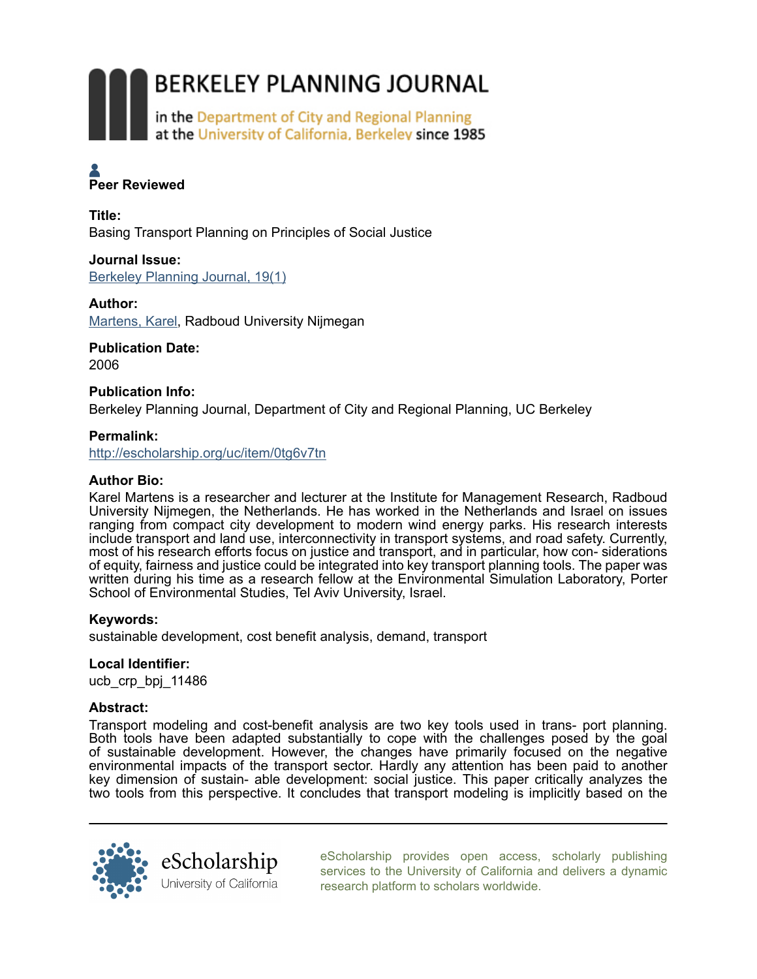# **BERKELEY PLANNING JOURNAL** in the Department of City and Regional Planning at the University of California. Berkeley since 1985

# **A**<br>Peer Reviewed

Title: Basing Transport Planning on Principles of Social Justice

Journal Issue: [Berkeley Planning Journal, 19\(1\)](http://escholarship.org/uc/ucb_crp_bpj?volume=19;issue=1)

# Author:

[Martens, Karel](http://escholarship.org/uc/search?creator=Martens%2C%20Karel), Radboud University Nijmegan

Publication Date: 2006

Publication Info: Berkeley Planning Journal, Department of City and Regional Planning, UC Berkeley

# Permalink:

<http://escholarship.org/uc/item/0tg6v7tn>

# Author Bio:

Karel Martens is a researcher and lecturer at the Institute for Management Research, Radboud University Nijmegen, the Netherlands. He has worked in the Netherlands and Israel on issues ranging from compact city development to modern wind energy parks. His research interests include transport and land use, interconnectivity in transport systems, and road safety. Currently, most of his research efforts focus on justice and transport, and in particular, how con- siderations of equity, fairness and justice could be integrated into key transport planning tools. The paper was written during his time as a research fellow at the Environmental Simulation Laboratory, Porter School of Environmental Studies, Tel Aviv University, Israel.

# Keywords:

sustainable development, cost benefit analysis, demand, transport

# Local Identifier:

ucb crp bpj 11486

# Abstract:

Transport modeling and cost-benefit analysis are two key tools used in trans- port planning. Both tools have been adapted substantially to cope with the challenges posed by the goal of sustainable development. However, the changes have primarily focused on the negative environmental impacts of the transport sector. Hardly any attention has been paid to another key dimension of sustain- able development: social justice. This paper critically analyzes the two tools from this perspective. It concludes that transport modeling is implicitly based on the



[eScholarship provides open access, scholarly publishing](http://escholarship.org) [services to the University of California and delivers a dynamic](http://escholarship.org) [research platform to scholars worldwide.](http://escholarship.org)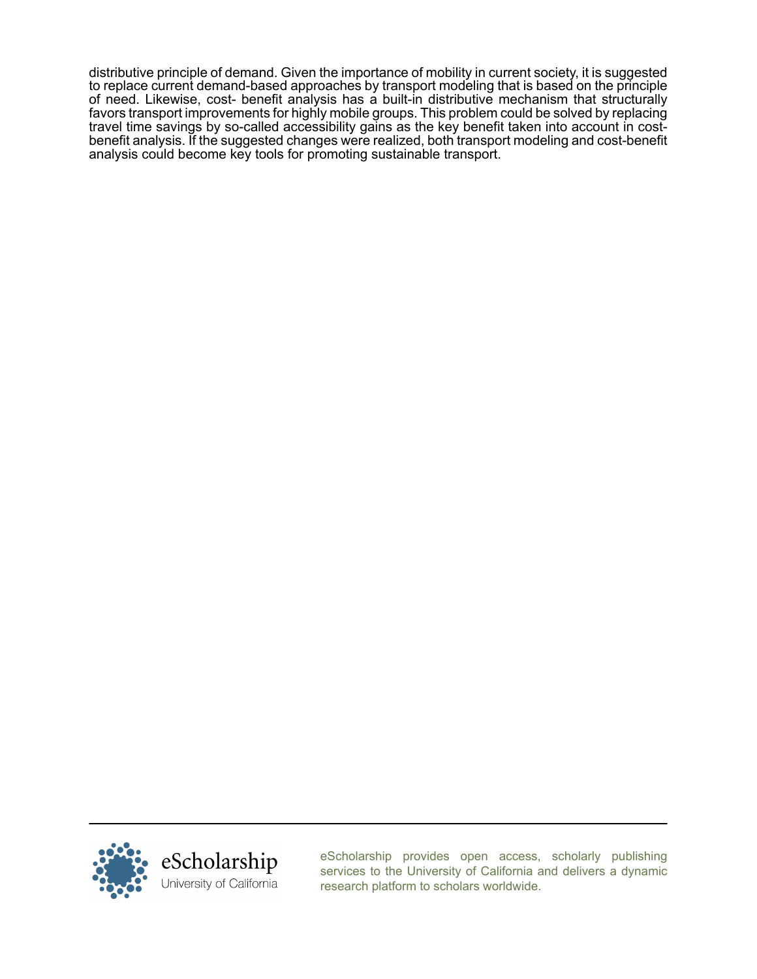distributive principle of demand. Given the importance of mobility in current society, it is suggested to replace current demand-based approaches by transport modeling that is based on the principle of need. Likewise, cost- benefit analysis has a built-in distributive mechanism that structurally favors transport improvements for highly mobile groups. This problem could be solved by replacing travel time savings by so-called accessibility gains as the key benefit taken into account in costbenefit analysis. If the suggested changes were realized, both transport modeling and cost-benefit analysis could become key tools for promoting sustainable transport.



[eScholarship provides open access, scholarly publishing](http://escholarship.org) [services to the University of California and delivers a dynamic](http://escholarship.org) [research platform to scholars worldwide.](http://escholarship.org)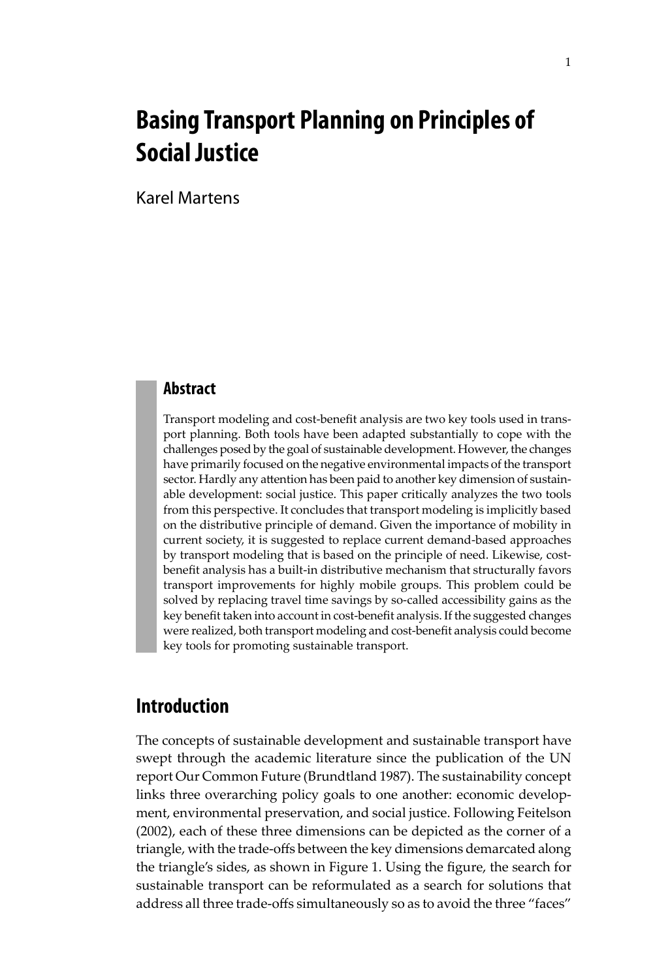# **Basing Transport Planning on Principles of Social Justice**

Karel Martens

#### **Abstract**

Transport modeling and cost-benefit analysis are two key tools used in transport planning. Both tools have been adapted substantially to cope with the challenges posed by the goal of sustainable development. However, the changes have primarily focused on the negative environmental impacts of the transport sector. Hardly any attention has been paid to another key dimension of sustainable development: social justice. This paper critically analyzes the two tools from this perspective. It concludes that transport modeling is implicitly based on the distributive principle of demand. Given the importance of mobility in current society, it is suggested to replace current demand-based approaches by transport modeling that is based on the principle of need. Likewise, costbenefit analysis has a built-in distributive mechanism that structurally favors transport improvements for highly mobile groups. This problem could be solved by replacing travel time savings by so-called accessibility gains as the key benefit taken into account in cost-benefit analysis. If the suggested changes were realized, both transport modeling and cost-benefit analysis could become key tools for promoting sustainable transport.

### **Introduction**

The concepts of sustainable development and sustainable transport have swept through the academic literature since the publication of the UN report Our Common Future (Brundtland 1987). The sustainability concept links three overarching policy goals to one another: economic development, environmental preservation, and social justice. Following Feitelson (2002), each of these three dimensions can be depicted as the corner of a triangle, with the trade-offs between the key dimensions demarcated along the triangle's sides, as shown in Figure 1. Using the figure, the search for sustainable transport can be reformulated as a search for solutions that address all three trade-offs simultaneously so as to avoid the three "faces"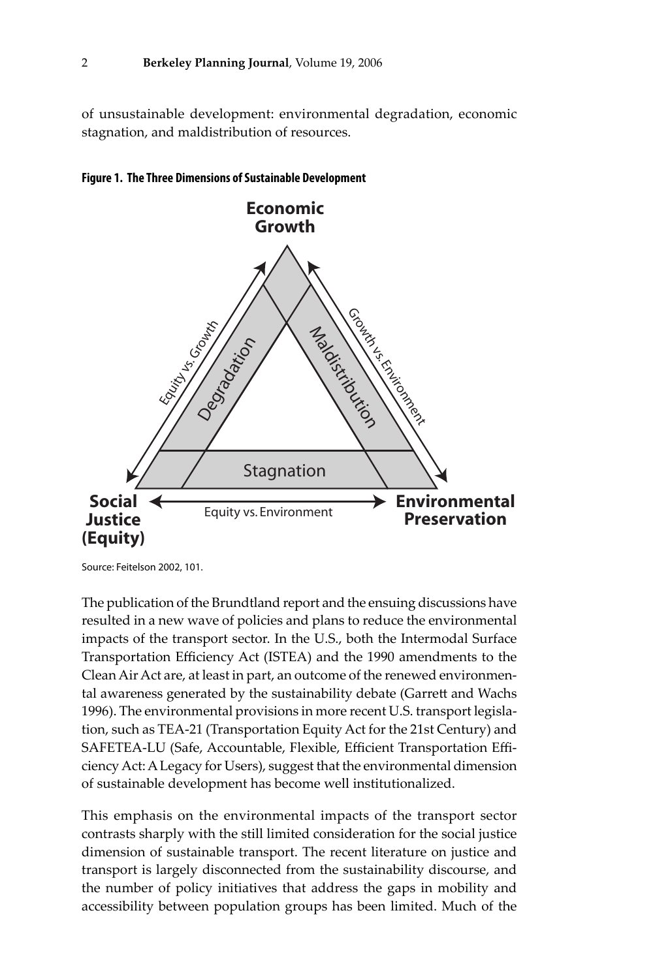of unsustainable development: environmental degradation, economic stagnation, and maldistribution of resources.



#### **Figure 1. The Three Dimensions of Sustainable Development**

The publication of the Brundtland report and the ensuing discussions have resulted in a new wave of policies and plans to reduce the environmental impacts of the transport sector. In the U.S., both the Intermodal Surface Transportation Efficiency Act (ISTEA) and the 1990 amendments to the Clean Air Act are, at least in part, an outcome of the renewed environmental awareness generated by the sustainability debate (Garrett and Wachs 1996). The environmental provisions in more recent U.S. transport legislation, such as TEA-21 (Transportation Equity Act for the 21st Century) and SAFETEA-LU (Safe, Accountable, Flexible, Efficient Transportation Efficiency Act: A Legacy for Users), suggest that the environmental dimension of sustainable development has become well institutionalized.

This emphasis on the environmental impacts of the transport sector contrasts sharply with the still limited consideration for the social justice dimension of sustainable transport. The recent literature on justice and transport is largely disconnected from the sustainability discourse, and the number of policy initiatives that address the gaps in mobility and accessibility between population groups has been limited. Much of the

Source: Feitelson 2002, 101.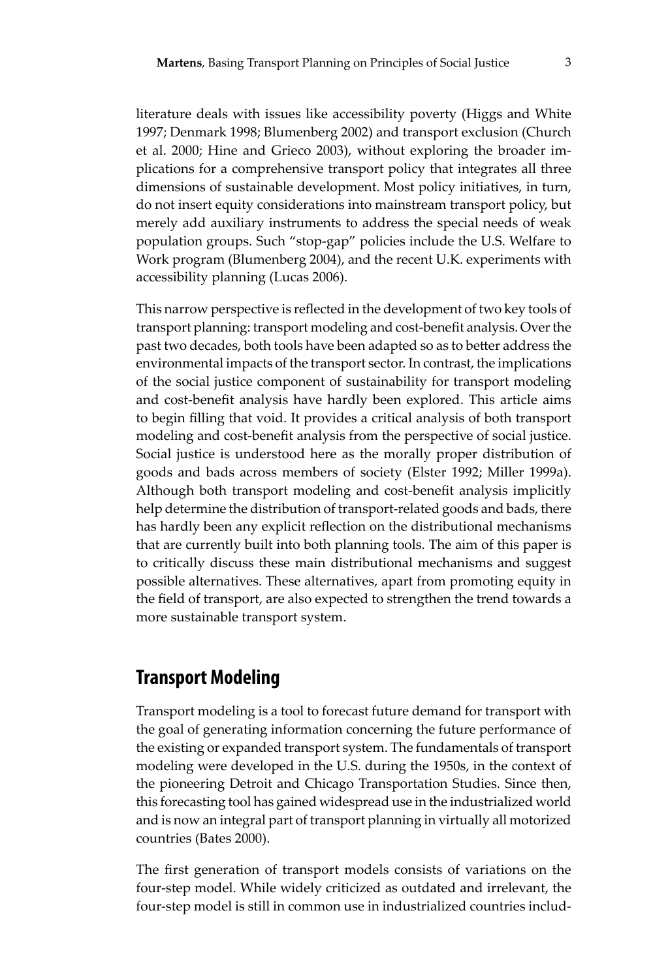literature deals with issues like accessibility poverty (Higgs and White 1997; Denmark 1998; Blumenberg 2002) and transport exclusion (Church et al. 2000; Hine and Grieco 2003), without exploring the broader implications for a comprehensive transport policy that integrates all three dimensions of sustainable development. Most policy initiatives, in turn, do not insert equity considerations into mainstream transport policy, but merely add auxiliary instruments to address the special needs of weak population groups. Such "stop-gap" policies include the U.S. Welfare to Work program (Blumenberg 2004), and the recent U.K. experiments with accessibility planning (Lucas 2006).

This narrow perspective is reflected in the development of two key tools of transport planning: transport modeling and cost-benefit analysis. Over the past two decades, both tools have been adapted so as to better address the environmental impacts of the transport sector. In contrast, the implications of the social justice component of sustainability for transport modeling and cost-benefit analysis have hardly been explored. This article aims to begin filling that void. It provides a critical analysis of both transport modeling and cost-benefit analysis from the perspective of social justice. Social justice is understood here as the morally proper distribution of goods and bads across members of society (Elster 1992; Miller 1999a). Although both transport modeling and cost-benefit analysis implicitly help determine the distribution of transport-related goods and bads, there has hardly been any explicit reflection on the distributional mechanisms that are currently built into both planning tools. The aim of this paper is to critically discuss these main distributional mechanisms and suggest possible alternatives. These alternatives, apart from promoting equity in the field of transport, are also expected to strengthen the trend towards a more sustainable transport system.

# **Transport Modeling**

Transport modeling is a tool to forecast future demand for transport with the goal of generating information concerning the future performance of the existing or expanded transport system. The fundamentals of transport modeling were developed in the U.S. during the 1950s, in the context of the pioneering Detroit and Chicago Transportation Studies. Since then, this forecasting tool has gained widespread use in the industrialized world and is now an integral part of transport planning in virtually all motorized countries (Bates 2000).

The first generation of transport models consists of variations on the four-step model. While widely criticized as outdated and irrelevant, the four-step model is still in common use in industrialized countries includ-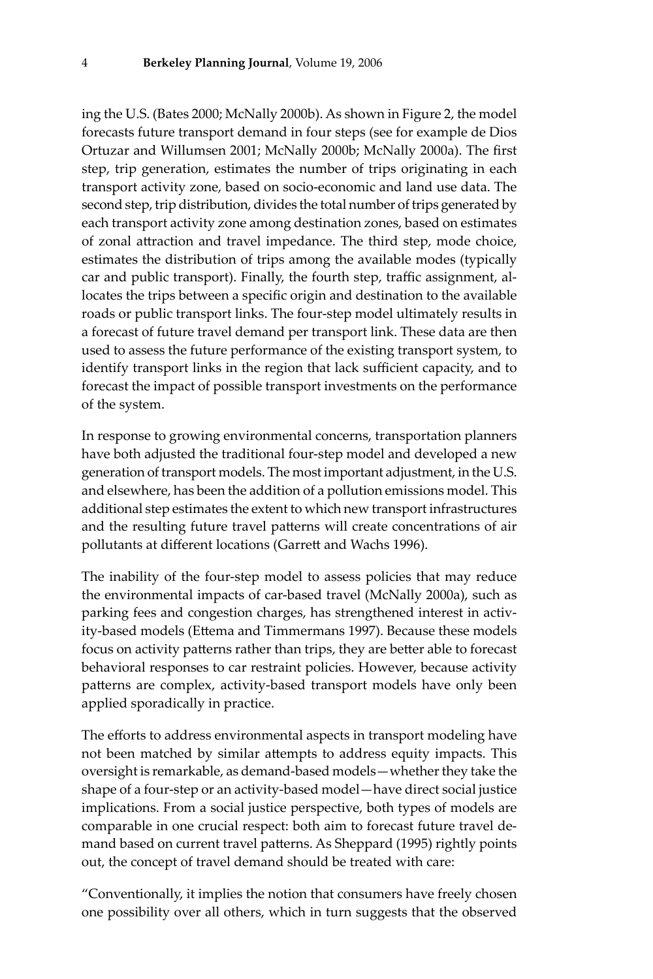ing the U.S. (Bates 2000; McNally 2000b). As shown in Figure 2, the model forecasts future transport demand in four steps (see for example de Dios Ortuzar and Willumsen 2001; McNally 2000b; McNally 2000a). The first step, trip generation, estimates the number of trips originating in each transport activity zone, based on socio-economic and land use data. The second step, trip distribution, divides the total number of trips generated by each transport activity zone among destination zones, based on estimates of zonal attraction and travel impedance. The third step, mode choice, estimates the distribution of trips among the available modes (typically car and public transport). Finally, the fourth step, traffic assignment, allocates the trips between a specific origin and destination to the available roads or public transport links. The four-step model ultimately results in a forecast of future travel demand per transport link. These data are then used to assess the future performance of the existing transport system, to identify transport links in the region that lack sufficient capacity, and to forecast the impact of possible transport investments on the performance of the system.

In response to growing environmental concerns, transportation planners have both adjusted the traditional four-step model and developed a new generation of transport models. The most important adjustment, in the U.S. and elsewhere, has been the addition of a pollution emissions model. This additional step estimates the extent to which new transport infrastructures and the resulting future travel patterns will create concentrations of air pollutants at different locations (Garrett and Wachs 1996).

The inability of the four-step model to assess policies that may reduce the environmental impacts of car-based travel (McNally 2000a), such as parking fees and congestion charges, has strengthened interest in activity-based models (Ettema and Timmermans 1997). Because these models focus on activity patterns rather than trips, they are better able to forecast behavioral responses to car restraint policies. However, because activity patterns are complex, activity-based transport models have only been applied sporadically in practice.

The efforts to address environmental aspects in transport modeling have not been matched by similar attempts to address equity impacts. This oversight is remarkable, as demand-based models—whether they take the shape of a four-step or an activity-based model—have direct social justice implications. From a social justice perspective, both types of models are comparable in one crucial respect: both aim to forecast future travel demand based on current travel patterns. As Sheppard (1995) rightly points out, the concept of travel demand should be treated with care:

"Conventionally, it implies the notion that consumers have freely chosen one possibility over all others, which in turn suggests that the observed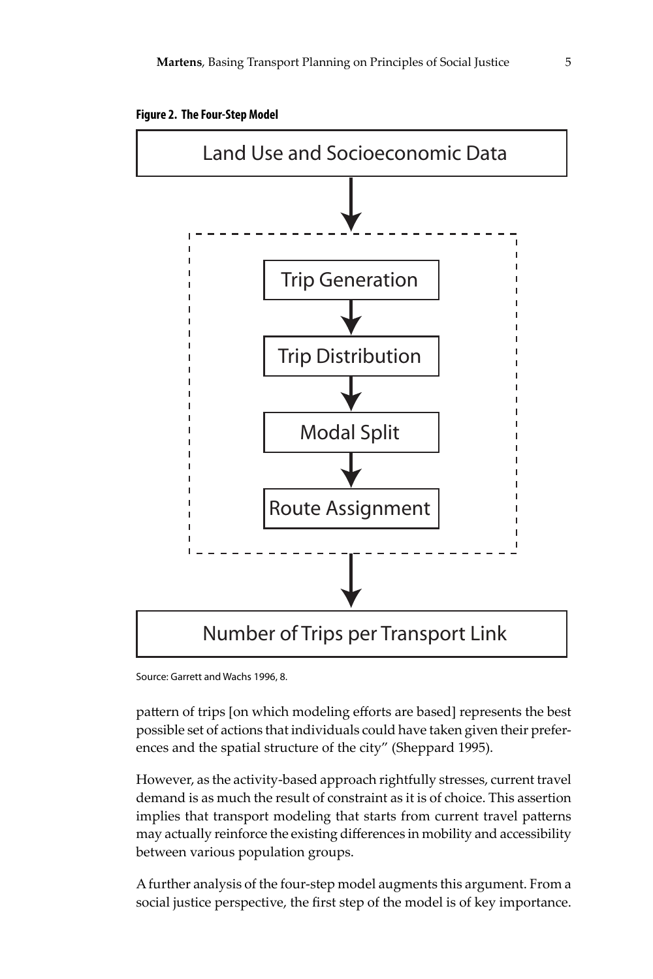

**Figure 2. The Four-Step Model**

Source: Garrett and Wachs 1996, 8.

pattern of trips [on which modeling efforts are based] represents the best possible set of actions that individuals could have taken given their preferences and the spatial structure of the city" (Sheppard 1995).

However, as the activity-based approach rightfully stresses, current travel demand is as much the result of constraint as it is of choice. This assertion implies that transport modeling that starts from current travel patterns may actually reinforce the existing differences in mobility and accessibility between various population groups.

A further analysis of the four-step model augments this argument. From a social justice perspective, the first step of the model is of key importance.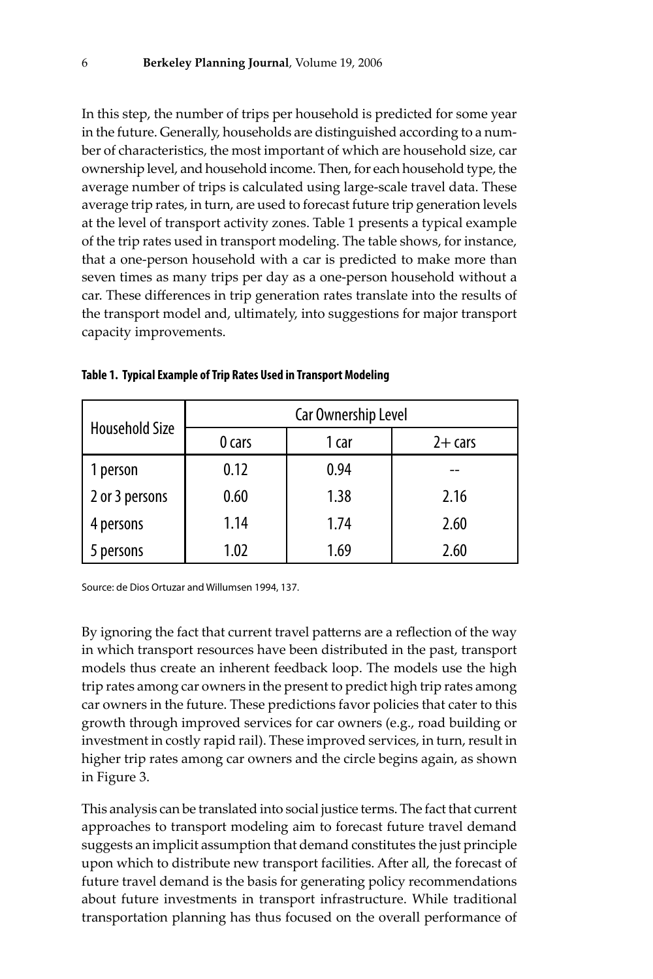In this step, the number of trips per household is predicted for some year in the future. Generally, households are distinguished according to a number of characteristics, the most important of which are household size, car ownership level, and household income. Then, for each household type, the average number of trips is calculated using large-scale travel data. These average trip rates, in turn, are used to forecast future trip generation levels at the level of transport activity zones. Table 1 presents a typical example of the trip rates used in transport modeling. The table shows, for instance, that a one-person household with a car is predicted to make more than seven times as many trips per day as a one-person household without a car. These differences in trip generation rates translate into the results of the transport model and, ultimately, into suggestions for major transport capacity improvements.

| Household Size | Car Ownership Level |       |           |  |
|----------------|---------------------|-------|-----------|--|
|                | 0 cars              | 1 car | $2+$ cars |  |
| person         | 0.12                | 0.94  |           |  |
| 2 or 3 persons | 0.60                | 1.38  | 2.16      |  |
| 4 persons      | 1.14                | 1.74  | 2.60      |  |
| 5 persons      | 1.02                | 1.69  | 2.60      |  |

|  | Table 1. Typical Example of Trip Rates Used in Transport Modeling |  |
|--|-------------------------------------------------------------------|--|
|  |                                                                   |  |

Source: de Dios Ortuzar and Willumsen 1994, 137.

By ignoring the fact that current travel patterns are a reflection of the way in which transport resources have been distributed in the past, transport models thus create an inherent feedback loop. The models use the high trip rates among car owners in the present to predict high trip rates among car owners in the future. These predictions favor policies that cater to this growth through improved services for car owners (e.g., road building or investment in costly rapid rail). These improved services, in turn, result in higher trip rates among car owners and the circle begins again, as shown in Figure 3.

This analysis can be translated into social justice terms. The fact that current approaches to transport modeling aim to forecast future travel demand suggests an implicit assumption that demand constitutes the just principle upon which to distribute new transport facilities. After all, the forecast of future travel demand is the basis for generating policy recommendations about future investments in transport infrastructure. While traditional transportation planning has thus focused on the overall performance of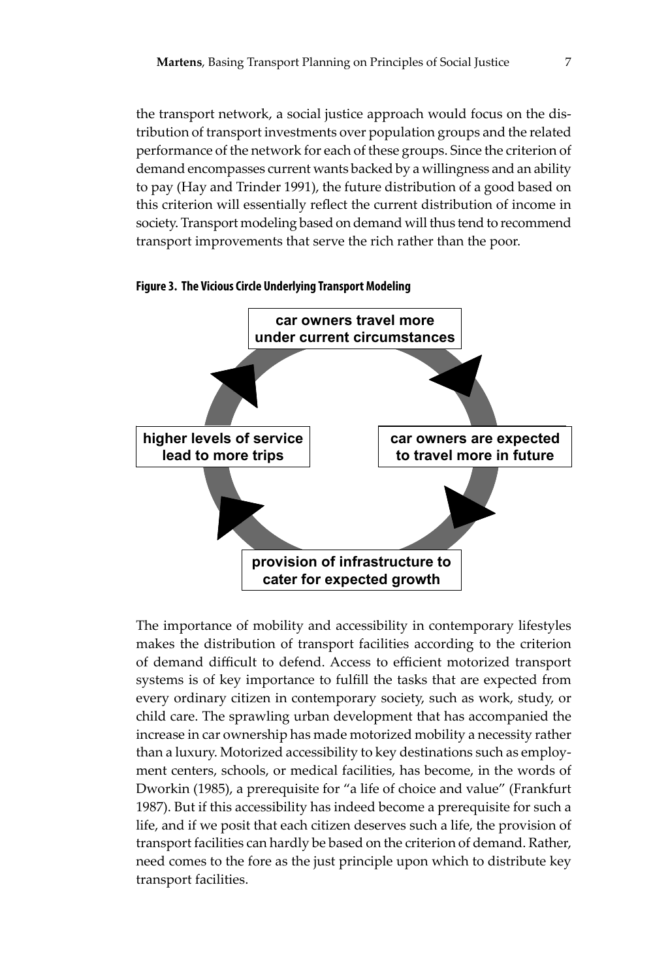the transport network, a social justice approach would focus on the distribution of transport investments over population groups and the related performance of the network for each of these groups. Since the criterion of demand encompasses current wants backed by a willingness and an ability to pay (Hay and Trinder 1991), the future distribution of a good based on this criterion will essentially reflect the current distribution of income in society. Transport modeling based on demand will thus tend to recommend transport improvements that serve the rich rather than the poor.





The importance of mobility and accessibility in contemporary lifestyles makes the distribution of transport facilities according to the criterion of demand difficult to defend. Access to efficient motorized transport systems is of key importance to fulfill the tasks that are expected from every ordinary citizen in contemporary society, such as work, study, or child care. The sprawling urban development that has accompanied the increase in car ownership has made motorized mobility a necessity rather than a luxury. Motorized accessibility to key destinations such as employment centers, schools, or medical facilities, has become, in the words of Dworkin (1985), a prerequisite for "a life of choice and value" (Frankfurt 1987). But if this accessibility has indeed become a prerequisite for such a life, and if we posit that each citizen deserves such a life, the provision of transport facilities can hardly be based on the criterion of demand. Rather, need comes to the fore as the just principle upon which to distribute key transport facilities.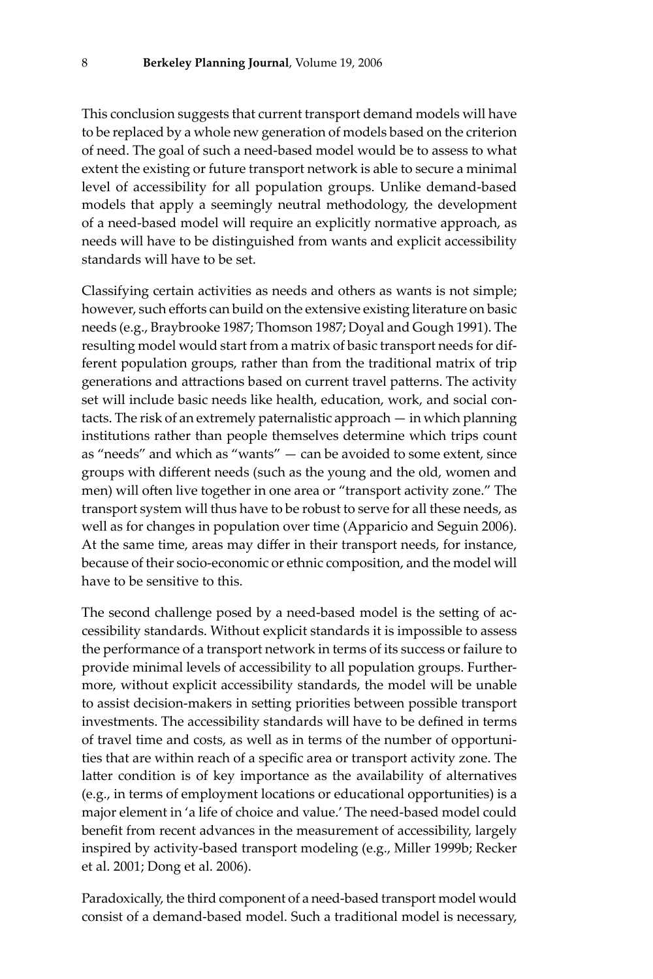This conclusion suggests that current transport demand models will have to be replaced by a whole new generation of models based on the criterion of need. The goal of such a need-based model would be to assess to what extent the existing or future transport network is able to secure a minimal level of accessibility for all population groups. Unlike demand-based models that apply a seemingly neutral methodology, the development of a need-based model will require an explicitly normative approach, as needs will have to be distinguished from wants and explicit accessibility standards will have to be set.

Classifying certain activities as needs and others as wants is not simple; however, such efforts can build on the extensive existing literature on basic needs (e.g., Braybrooke 1987; Thomson 1987; Doyal and Gough 1991). The resulting model would start from a matrix of basic transport needs for different population groups, rather than from the traditional matrix of trip generations and attractions based on current travel patterns. The activity set will include basic needs like health, education, work, and social contacts. The risk of an extremely paternalistic approach — in which planning institutions rather than people themselves determine which trips count as "needs" and which as "wants" — can be avoided to some extent, since groups with different needs (such as the young and the old, women and men) will often live together in one area or "transport activity zone." The transport system will thus have to be robust to serve for all these needs, as well as for changes in population over time (Apparicio and Seguin 2006). At the same time, areas may differ in their transport needs, for instance, because of their socio-economic or ethnic composition, and the model will have to be sensitive to this.

The second challenge posed by a need-based model is the setting of accessibility standards. Without explicit standards it is impossible to assess the performance of a transport network in terms of its success or failure to provide minimal levels of accessibility to all population groups. Furthermore, without explicit accessibility standards, the model will be unable to assist decision-makers in setting priorities between possible transport investments. The accessibility standards will have to be defined in terms of travel time and costs, as well as in terms of the number of opportunities that are within reach of a specific area or transport activity zone. The latter condition is of key importance as the availability of alternatives (e.g., in terms of employment locations or educational opportunities) is a major element in 'a life of choice and value.' The need-based model could benefit from recent advances in the measurement of accessibility, largely inspired by activity-based transport modeling (e.g., Miller 1999b; Recker et al. 2001; Dong et al. 2006).

Paradoxically, the third component of a need-based transport model would consist of a demand-based model. Such a traditional model is necessary,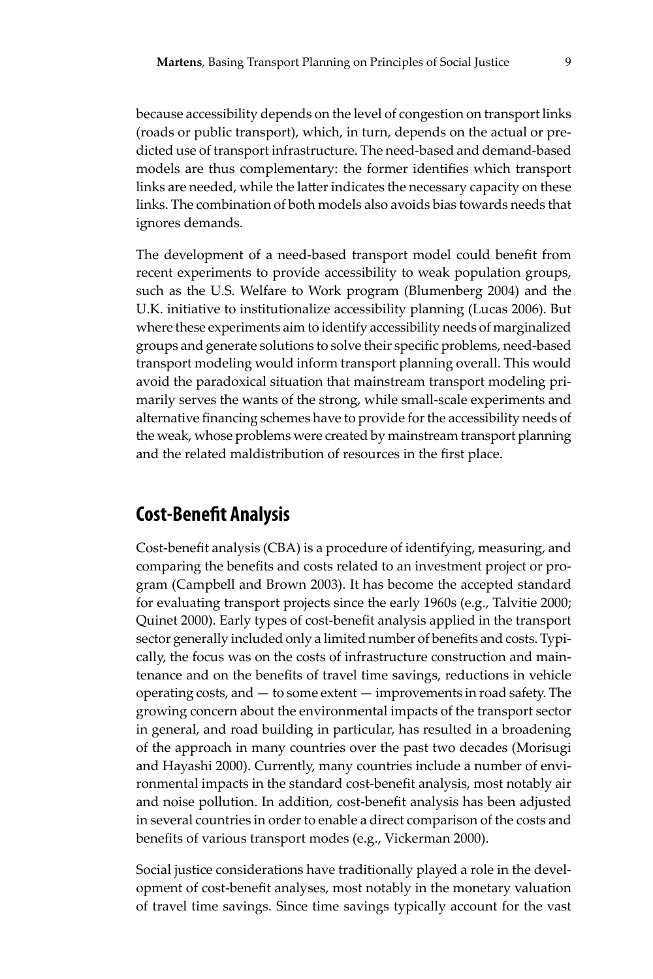because accessibility depends on the level of congestion on transport links (roads or public transport), which, in turn, depends on the actual or predicted use of transport infrastructure. The need-based and demand-based models are thus complementary: the former identifies which transport links are needed, while the latter indicates the necessary capacity on these links. The combination of both models also avoids bias towards needs that ignores demands.

The development of a need-based transport model could benefit from recent experiments to provide accessibility to weak population groups, such as the U.S. Welfare to Work program (Blumenberg 2004) and the U.K. initiative to institutionalize accessibility planning (Lucas 2006). But where these experiments aim to identify accessibility needs of marginalized groups and generate solutions to solve their specific problems, need-based transport modeling would inform transport planning overall. This would avoid the paradoxical situation that mainstream transport modeling primarily serves the wants of the strong, while small-scale experiments and alternative financing schemes have to provide for the accessibility needs of the weak, whose problems were created by mainstream transport planning and the related maldistribution of resources in the first place.

# **Cost-Benefit Analysis**

Cost-benefit analysis (CBA) is a procedure of identifying, measuring, and comparing the benefits and costs related to an investment project or program (Campbell and Brown 2003). It has become the accepted standard for evaluating transport projects since the early 1960s (e.g., Talvitie 2000; Quinet 2000). Early types of cost-benefit analysis applied in the transport sector generally included only a limited number of benefits and costs. Typically, the focus was on the costs of infrastructure construction and maintenance and on the benefits of travel time savings, reductions in vehicle operating costs, and — to some extent — improvements in road safety. The growing concern about the environmental impacts of the transport sector in general, and road building in particular, has resulted in a broadening of the approach in many countries over the past two decades (Morisugi and Hayashi 2000). Currently, many countries include a number of environmental impacts in the standard cost-benefit analysis, most notably air and noise pollution. In addition, cost-benefit analysis has been adjusted in several countries in order to enable a direct comparison of the costs and benefits of various transport modes (e.g., Vickerman 2000).

Social justice considerations have traditionally played a role in the development of cost-benefit analyses, most notably in the monetary valuation of travel time savings. Since time savings typically account for the vast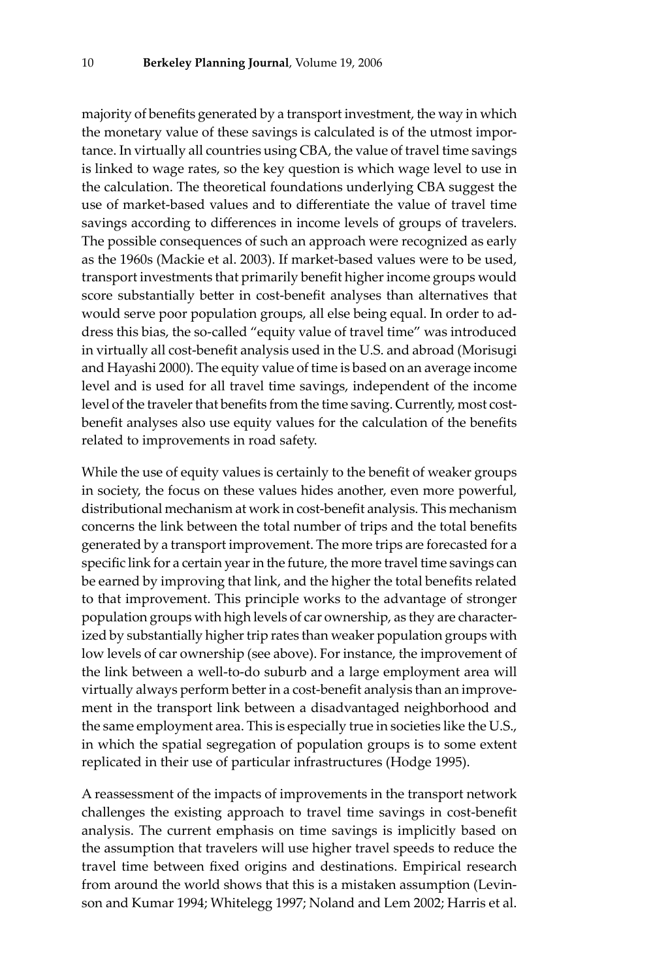majority of benefits generated by a transport investment, the way in which the monetary value of these savings is calculated is of the utmost importance. In virtually all countries using CBA, the value of travel time savings is linked to wage rates, so the key question is which wage level to use in the calculation. The theoretical foundations underlying CBA suggest the use of market-based values and to differentiate the value of travel time savings according to differences in income levels of groups of travelers. The possible consequences of such an approach were recognized as early as the 1960s (Mackie et al. 2003). If market-based values were to be used, transport investments that primarily benefit higher income groups would score substantially better in cost-benefit analyses than alternatives that would serve poor population groups, all else being equal. In order to address this bias, the so-called "equity value of travel time" was introduced in virtually all cost-benefit analysis used in the U.S. and abroad (Morisugi and Hayashi 2000). The equity value of time is based on an average income level and is used for all travel time savings, independent of the income level of the traveler that benefits from the time saving. Currently, most costbenefit analyses also use equity values for the calculation of the benefits related to improvements in road safety.

While the use of equity values is certainly to the benefit of weaker groups in society, the focus on these values hides another, even more powerful, distributional mechanism at work in cost-benefit analysis. This mechanism concerns the link between the total number of trips and the total benefits generated by a transport improvement. The more trips are forecasted for a specific link for a certain year in the future, the more travel time savings can be earned by improving that link, and the higher the total benefits related to that improvement. This principle works to the advantage of stronger population groups with high levels of car ownership, as they are characterized by substantially higher trip rates than weaker population groups with low levels of car ownership (see above). For instance, the improvement of the link between a well-to-do suburb and a large employment area will virtually always perform better in a cost-benefit analysis than an improvement in the transport link between a disadvantaged neighborhood and the same employment area. This is especially true in societies like the U.S., in which the spatial segregation of population groups is to some extent replicated in their use of particular infrastructures (Hodge 1995).

A reassessment of the impacts of improvements in the transport network challenges the existing approach to travel time savings in cost-benefit analysis. The current emphasis on time savings is implicitly based on the assumption that travelers will use higher travel speeds to reduce the travel time between fixed origins and destinations. Empirical research from around the world shows that this is a mistaken assumption (Levinson and Kumar 1994; Whitelegg 1997; Noland and Lem 2002; Harris et al.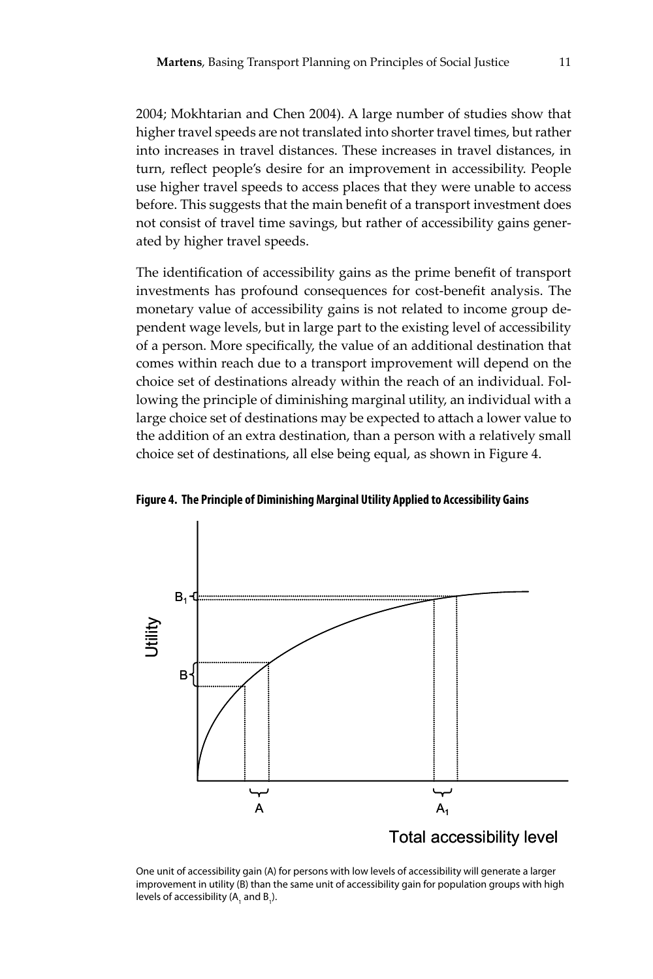2004; Mokhtarian and Chen 2004). A large number of studies show that higher travel speeds are not translated into shorter travel times, but rather into increases in travel distances. These increases in travel distances, in turn, reflect people's desire for an improvement in accessibility. People use higher travel speeds to access places that they were unable to access before. This suggests that the main benefit of a transport investment does not consist of travel time savings, but rather of accessibility gains generated by higher travel speeds.

The identification of accessibility gains as the prime benefit of transport investments has profound consequences for cost-benefit analysis. The monetary value of accessibility gains is not related to income group dependent wage levels, but in large part to the existing level of accessibility of a person. More specifically, the value of an additional destination that comes within reach due to a transport improvement will depend on the choice set of destinations already within the reach of an individual. Following the principle of diminishing marginal utility, an individual with a large choice set of destinations may be expected to attach a lower value to the addition of an extra destination, than a person with a relatively small choice set of destinations, all else being equal, as shown in Figure 4.



**Figure 4. The Principle of Diminishing Marginal Utility Applied to Accessibility Gains**

One unit of accessibility gain (A) for persons with low levels of accessibility will generate a larger improvement in utility (B) than the same unit of accessibility gain for population groups with high levels of accessibility (A<sub>1</sub> and B<sub>1</sub>).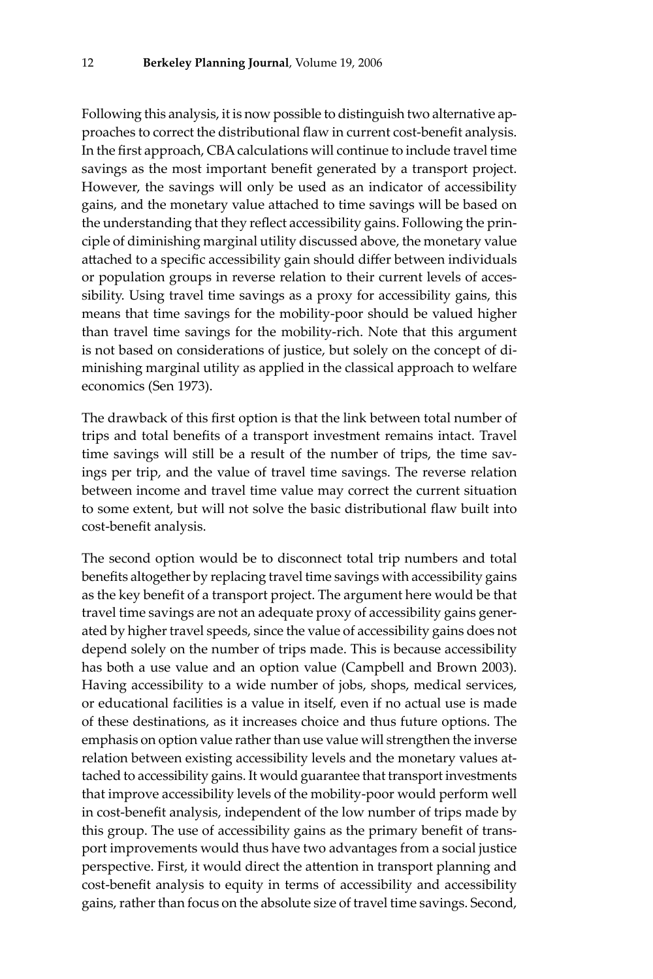Following this analysis, it is now possible to distinguish two alternative approaches to correct the distributional flaw in current cost-benefit analysis. In the first approach, CBA calculations will continue to include travel time savings as the most important benefit generated by a transport project. However, the savings will only be used as an indicator of accessibility gains, and the monetary value attached to time savings will be based on the understanding that they reflect accessibility gains. Following the principle of diminishing marginal utility discussed above, the monetary value attached to a specific accessibility gain should differ between individuals or population groups in reverse relation to their current levels of accessibility. Using travel time savings as a proxy for accessibility gains, this means that time savings for the mobility-poor should be valued higher than travel time savings for the mobility-rich. Note that this argument is not based on considerations of justice, but solely on the concept of diminishing marginal utility as applied in the classical approach to welfare economics (Sen 1973).

The drawback of this first option is that the link between total number of trips and total benefits of a transport investment remains intact. Travel time savings will still be a result of the number of trips, the time savings per trip, and the value of travel time savings. The reverse relation between income and travel time value may correct the current situation to some extent, but will not solve the basic distributional flaw built into cost-benefit analysis.

The second option would be to disconnect total trip numbers and total benefits altogether by replacing travel time savings with accessibility gains as the key benefit of a transport project. The argument here would be that travel time savings are not an adequate proxy of accessibility gains generated by higher travel speeds, since the value of accessibility gains does not depend solely on the number of trips made. This is because accessibility has both a use value and an option value (Campbell and Brown 2003). Having accessibility to a wide number of jobs, shops, medical services, or educational facilities is a value in itself, even if no actual use is made of these destinations, as it increases choice and thus future options. The emphasis on option value rather than use value will strengthen the inverse relation between existing accessibility levels and the monetary values attached to accessibility gains. It would guarantee that transport investments that improve accessibility levels of the mobility-poor would perform well in cost-benefit analysis, independent of the low number of trips made by this group. The use of accessibility gains as the primary benefit of transport improvements would thus have two advantages from a social justice perspective. First, it would direct the attention in transport planning and cost-benefit analysis to equity in terms of accessibility and accessibility gains, rather than focus on the absolute size of travel time savings. Second,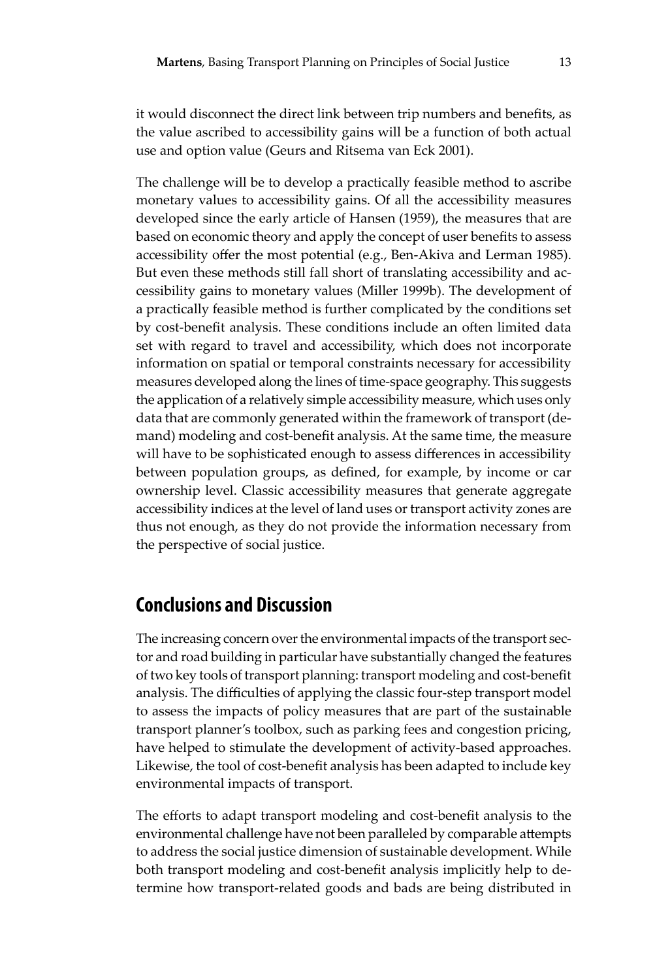it would disconnect the direct link between trip numbers and benefits, as the value ascribed to accessibility gains will be a function of both actual use and option value (Geurs and Ritsema van Eck 2001).

The challenge will be to develop a practically feasible method to ascribe monetary values to accessibility gains. Of all the accessibility measures developed since the early article of Hansen (1959), the measures that are based on economic theory and apply the concept of user benefits to assess accessibility offer the most potential (e.g., Ben-Akiva and Lerman 1985). But even these methods still fall short of translating accessibility and accessibility gains to monetary values (Miller 1999b). The development of a practically feasible method is further complicated by the conditions set by cost-benefit analysis. These conditions include an often limited data set with regard to travel and accessibility, which does not incorporate information on spatial or temporal constraints necessary for accessibility measures developed along the lines of time-space geography. This suggests the application of a relatively simple accessibility measure, which uses only data that are commonly generated within the framework of transport (demand) modeling and cost-benefit analysis. At the same time, the measure will have to be sophisticated enough to assess differences in accessibility between population groups, as defined, for example, by income or car ownership level. Classic accessibility measures that generate aggregate accessibility indices at the level of land uses or transport activity zones are thus not enough, as they do not provide the information necessary from the perspective of social justice.

## **Conclusions and Discussion**

The increasing concern over the environmental impacts of the transport sector and road building in particular have substantially changed the features of two key tools of transport planning: transport modeling and cost-benefit analysis. The difficulties of applying the classic four-step transport model to assess the impacts of policy measures that are part of the sustainable transport planner's toolbox, such as parking fees and congestion pricing, have helped to stimulate the development of activity-based approaches. Likewise, the tool of cost-benefit analysis has been adapted to include key environmental impacts of transport.

The efforts to adapt transport modeling and cost-benefit analysis to the environmental challenge have not been paralleled by comparable attempts to address the social justice dimension of sustainable development. While both transport modeling and cost-benefit analysis implicitly help to determine how transport-related goods and bads are being distributed in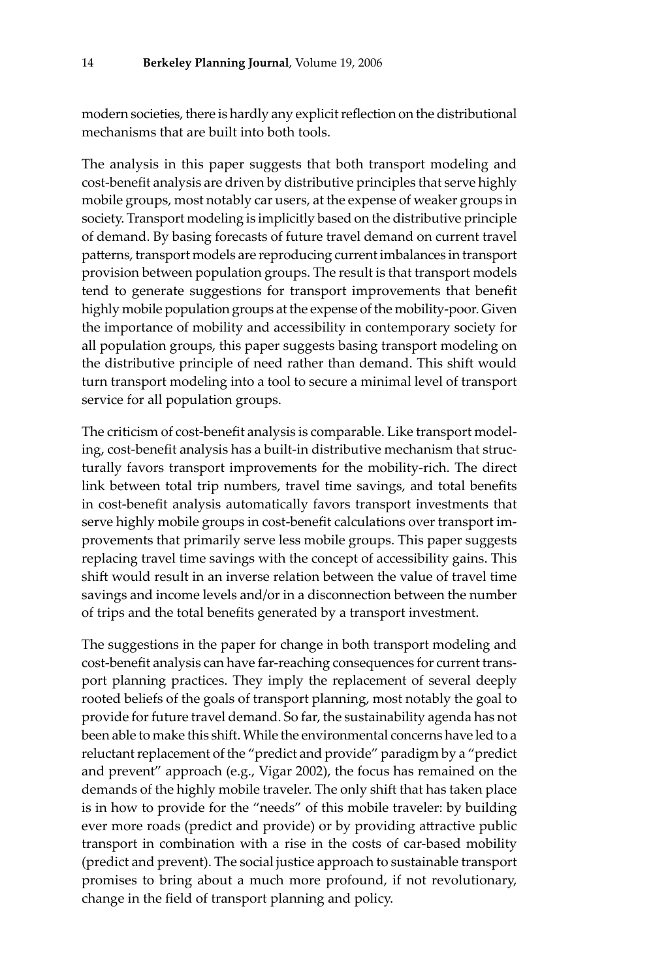modern societies, there is hardly any explicit reflection on the distributional mechanisms that are built into both tools.

The analysis in this paper suggests that both transport modeling and cost-benefit analysis are driven by distributive principles that serve highly mobile groups, most notably car users, at the expense of weaker groups in society. Transport modeling is implicitly based on the distributive principle of demand. By basing forecasts of future travel demand on current travel patterns, transport models are reproducing current imbalances in transport provision between population groups. The result is that transport models tend to generate suggestions for transport improvements that benefit highly mobile population groups at the expense of the mobility-poor. Given the importance of mobility and accessibility in contemporary society for all population groups, this paper suggests basing transport modeling on the distributive principle of need rather than demand. This shift would turn transport modeling into a tool to secure a minimal level of transport service for all population groups.

The criticism of cost-benefit analysis is comparable. Like transport modeling, cost-benefit analysis has a built-in distributive mechanism that structurally favors transport improvements for the mobility-rich. The direct link between total trip numbers, travel time savings, and total benefits in cost-benefit analysis automatically favors transport investments that serve highly mobile groups in cost-benefit calculations over transport improvements that primarily serve less mobile groups. This paper suggests replacing travel time savings with the concept of accessibility gains. This shift would result in an inverse relation between the value of travel time savings and income levels and/or in a disconnection between the number of trips and the total benefits generated by a transport investment.

The suggestions in the paper for change in both transport modeling and cost-benefit analysis can have far-reaching consequences for current transport planning practices. They imply the replacement of several deeply rooted beliefs of the goals of transport planning, most notably the goal to provide for future travel demand. So far, the sustainability agenda has not been able to make this shift. While the environmental concerns have led to a reluctant replacement of the "predict and provide" paradigm by a "predict and prevent" approach (e.g., Vigar 2002), the focus has remained on the demands of the highly mobile traveler. The only shift that has taken place is in how to provide for the "needs" of this mobile traveler: by building ever more roads (predict and provide) or by providing attractive public transport in combination with a rise in the costs of car-based mobility (predict and prevent). The social justice approach to sustainable transport promises to bring about a much more profound, if not revolutionary, change in the field of transport planning and policy.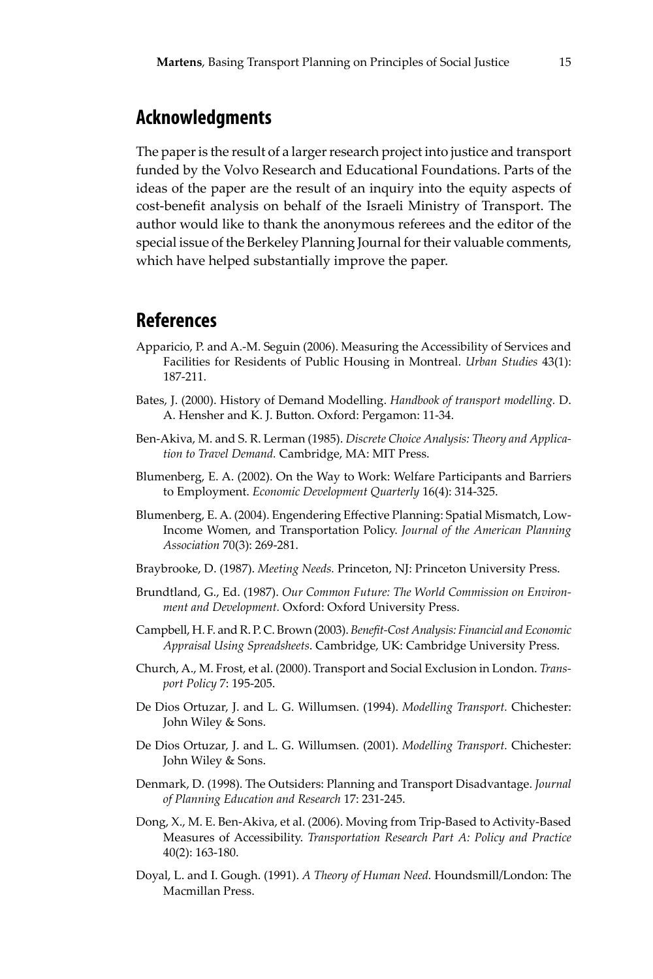# **Acknowledgments**

The paper is the result of a larger research project into justice and transport funded by the Volvo Research and Educational Foundations. Parts of the ideas of the paper are the result of an inquiry into the equity aspects of cost-benefit analysis on behalf of the Israeli Ministry of Transport. The author would like to thank the anonymous referees and the editor of the special issue of the Berkeley Planning Journal for their valuable comments, which have helped substantially improve the paper.

## **References**

- Apparicio, P. and A.-M. Seguin (2006). Measuring the Accessibility of Services and Facilities for Residents of Public Housing in Montreal. *Urban Studies* 43(1): 187-211.
- Bates, J. (2000). History of Demand Modelling. *Handbook of transport modelling.* D. A. Hensher and K. J. Button. Oxford: Pergamon: 11-34.
- Ben-Akiva, M. and S. R. Lerman (1985). *Discrete Choice Analysis: Theory and Application to Travel Demand.* Cambridge, MA: MIT Press.
- Blumenberg, E. A. (2002). On the Way to Work: Welfare Participants and Barriers to Employment. *Economic Development Quarterly* 16(4): 314-325.
- Blumenberg, E. A. (2004). Engendering Effective Planning: Spatial Mismatch, Low-Income Women, and Transportation Policy. *Journal of the American Planning Association* 70(3): 269-281.
- Braybrooke, D. (1987). *Meeting Needs.* Princeton, NJ: Princeton University Press.
- Brundtland, G., Ed. (1987). *Our Common Future: The World Commission on Environment and Development.* Oxford: Oxford University Press.
- Campbell, H. F. and R. P. C. Brown (2003). *Benefi t-Cost Analysis: Financial and Economic Appraisal Using Spreadsheets*. Cambridge, UK: Cambridge University Press.
- Church, A., M. Frost, et al. (2000). Transport and Social Exclusion in London. *Transport Policy* 7: 195-205.
- De Dios Ortuzar, J. and L. G. Willumsen. (1994). *Modelling Transport.* Chichester: John Wiley & Sons.
- De Dios Ortuzar, J. and L. G. Willumsen. (2001). *Modelling Transport.* Chichester: John Wiley & Sons.
- Denmark, D. (1998). The Outsiders: Planning and Transport Disadvantage. *Journal of Planning Education and Research* 17: 231-245.
- Dong, X., M. E. Ben-Akiva, et al. (2006). Moving from Trip-Based to Activity-Based Measures of Accessibility. *Transportation Research Part A: Policy and Practice* 40(2): 163-180.
- Doyal, L. and I. Gough. (1991). *A Theory of Human Need.* Houndsmill/London: The Macmillan Press.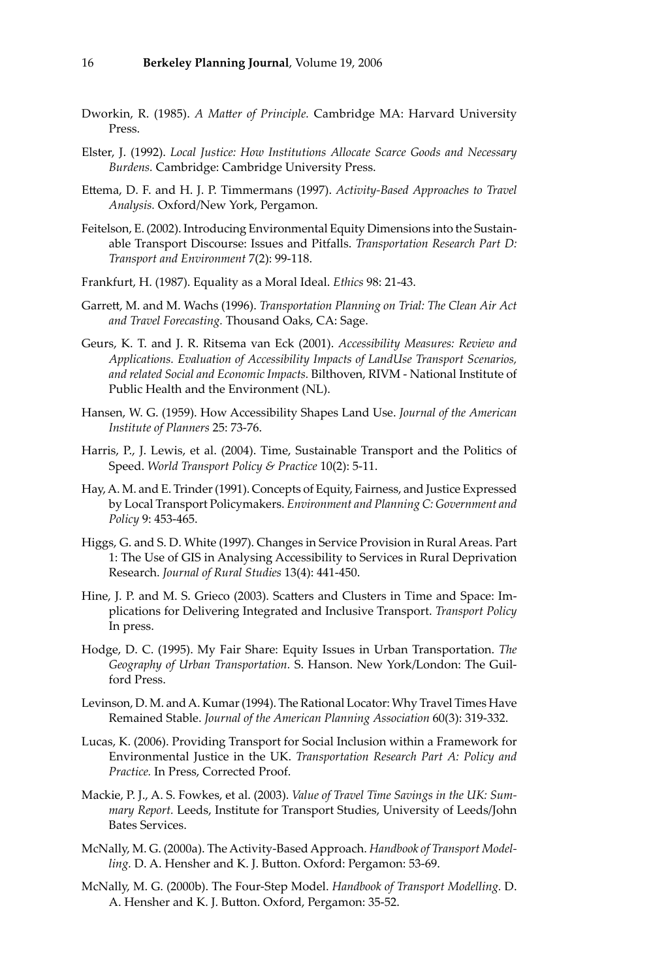- Dworkin, R. (1985). *A Matt er of Principle.* Cambridge MA: Harvard University Press.
- Elster, J. (1992). *Local Justice: How Institutions Allocate Scarce Goods and Necessary Burdens.* Cambridge: Cambridge University Press.
- Ett ema, D. F. and H. J. P. Timmermans (1997). *Activity-Based Approaches to Travel Analysis.* Oxford/New York, Pergamon.
- Feitelson, E. (2002). Introducing Environmental Equity Dimensions into the Sustainable Transport Discourse: Issues and Pitfalls. *Transportation Research Part D: Transport and Environment* 7(2): 99-118.
- Frankfurt, H. (1987). Equality as a Moral Ideal. *Ethics* 98: 21-43.
- Garrett, M. and M. Wachs (1996). *Transportation Planning on Trial: The Clean Air Act and Travel Forecasting.* Thousand Oaks, CA: Sage.
- Geurs, K. T. and J. R. Ritsema van Eck (2001). *Accessibility Measures: Review and Applications. Evaluation of Accessibility Impacts of LandUse Transport Scenarios, and related Social and Economic Impacts.* Bilthoven, RIVM - National Institute of Public Health and the Environment (NL).
- Hansen, W. G. (1959). How Accessibility Shapes Land Use. *Journal of the American Institute of Planners* 25: 73-76.
- Harris, P., J. Lewis, et al. (2004). Time, Sustainable Transport and the Politics of Speed. *World Transport Policy & Practice* 10(2): 5-11.
- Hay, A. M. and E. Trinder (1991). Concepts of Equity, Fairness, and Justice Expressed by Local Transport Policymakers. *Environment and Planning C: Government and Policy* 9: 453-465.
- Higgs, G. and S. D. White (1997). Changes in Service Provision in Rural Areas. Part 1: The Use of GIS in Analysing Accessibility to Services in Rural Deprivation Research. *Journal of Rural Studies* 13(4): 441-450.
- Hine, J. P. and M. S. Grieco (2003). Scatters and Clusters in Time and Space: Implications for Delivering Integrated and Inclusive Transport. *Transport Policy* In press.
- Hodge, D. C. (1995). My Fair Share: Equity Issues in Urban Transportation. *The Geography of Urban Transportation.* S. Hanson. New York/London: The Guilford Press.
- Levinson, D. M. and A. Kumar (1994). The Rational Locator: Why Travel Times Have Remained Stable. *Journal of the American Planning Association* 60(3): 319-332.
- Lucas, K. (2006). Providing Transport for Social Inclusion within a Framework for Environmental Justice in the UK. *Transportation Research Part A: Policy and Practice.* In Press, Corrected Proof.
- Mackie, P. J., A. S. Fowkes, et al. (2003). *Value of Travel Time Savings in the UK: Summary Report.* Leeds, Institute for Transport Studies, University of Leeds/John Bates Services.
- McNally, M. G. (2000a). The Activity-Based Approach. *Handbook of Transport Model*ling. D. A. Hensher and K. J. Button. Oxford: Pergamon: 53-69.
- McNally, M. G. (2000b). The Four-Step Model. *Handbook of Transport Modelling.* D. A. Hensher and K. J. Button. Oxford, Pergamon: 35-52.